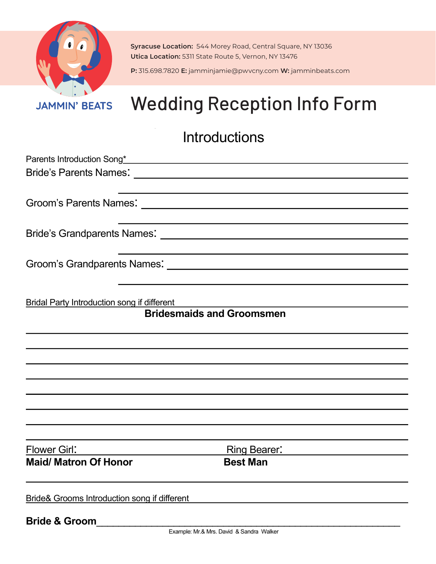

**Syracuse Location:** 544 Morey Road, Central Square, NY 13036 **Utica Location:** 5311 State Route 5, Vernon, NY 13476

**P:** 315.698.7820 **E:** jamminjamie@pwvcny.com **W:** jamminbeats.com Website: www.Jammingermogle.com Email: Contact Contact Contact Contact Contact Contact Contact Contact Contact Contact Contact Contact Contact Contact Contact Contact Contact Contact Contact Contact Contact Contact Contact

## Wedding Reception Information Sheet JAMMIN' BEATS Wedding Reception Info Form

## **Introductions**

| Parents Introduction Song* Management of the Contract of the Contract of Table 1. |                                  |  |
|-----------------------------------------------------------------------------------|----------------------------------|--|
|                                                                                   |                                  |  |
|                                                                                   |                                  |  |
|                                                                                   |                                  |  |
|                                                                                   |                                  |  |
|                                                                                   |                                  |  |
|                                                                                   |                                  |  |
| <b>Bridal Party Introduction song if different</b>                                |                                  |  |
|                                                                                   | <b>Bridesmaids and Groomsmen</b> |  |
|                                                                                   |                                  |  |
|                                                                                   |                                  |  |
|                                                                                   |                                  |  |
|                                                                                   |                                  |  |
|                                                                                   |                                  |  |
|                                                                                   |                                  |  |
| Flower Girl:                                                                      | <b>Ring Bearer:</b>              |  |
| <b>Maid/ Matron Of Honor</b>                                                      | <b>Best Man</b>                  |  |
| <b>Bride&amp; Grooms Introduction song if different</b>                           |                                  |  |
| <b>Bride &amp; Groom</b>                                                          |                                  |  |